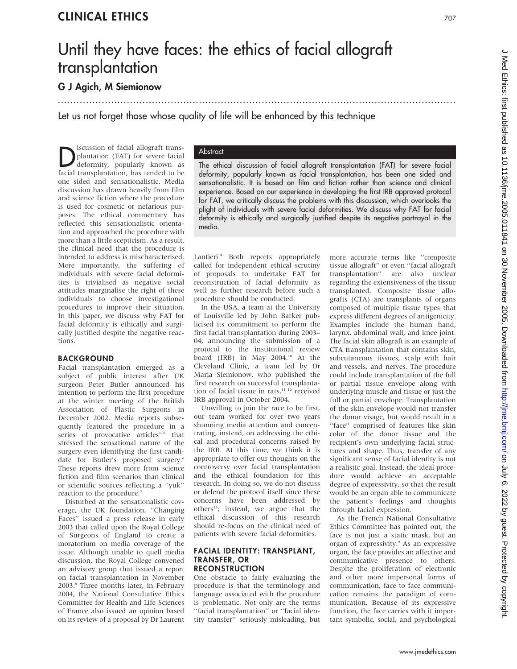# Until they have faces: the ethics of facial allograft transplantation

# G J Agich, M Siemionow

Let us not forget those whose quality of life will be enhanced by this technique

Sicussion of facial allograft trans-<br>plantation (FAT) for severe facial<br>deformity, popularly known as<br>facial transplantation has tended to be plantation (FAT) for severe facial deformity, popularly known as facial transplantation, has tended to be one sided and sensationalistic. Media discussion has drawn heavily from film and science fiction where the procedure is used for cosmetic or nefarious purposes. The ethical commentary has reflected this sensationalistic orientation and approached the procedure with more than a little scepticism. As a result, the clinical need that the procedure is intended to address is mischaracterised. More importantly, the suffering of individuals with severe facial deformities is trivialised as negative social attitudes marginalise the right of these individuals to choose investigational procedures to improve their situation. In this paper, we discuss why FAT for facial deformity is ethically and surgically justified despite the negative reactions.

### BACKGROUND

Facial transplantation emerged as a subject of public interest after UK surgeon Peter Butler announced his intention to perform the first procedure at the winter meeting of the British Association of Plastic Surgeons in December 2002. Media reports subsequently featured the procedure in a series of provocative articles $1-5$  that stressed the sensational nature of the surgery even identifying the first candidate for Butler's proposed surgery.<sup>6</sup> These reports drew more from science fiction and film scenarios than clinical or scientific sources reflecting a ''yuk'' reaction to the procedure.7

Disturbed at the sensationalistic coverage, the UK foundation, ''Changing Faces'' issued a press release in early 2003 that called upon the Royal College of Surgeons of England to create a moratorium on media coverage of the issue. Although unable to quell media discussion, the Royal College convened an advisory group that issued a report on facial transplantation in November 2003.8 Three months later, in February 2004, the National Consultative Ethics Committee for Health and Life Sciences of France also issued an opinion based on its review of a proposal by Dr Laurent

## **Abstract**

The ethical discussion of facial allograft transplantation (FAT) for severe facial deformity, popularly known as facial transplantation, has been one sided and sensationalistic. It is based on film and fiction rather than science and clinical experience. Based on our experience in developing the first IRB approved protocol for FAT, we critically discuss the problems with this discussion, which overlooks the plight of individuals with severe facial deformities. We discuss why FAT for facial deformity is ethically and surgically justified despite its negative portrayal in the media.

...............................................................................................................................

Lantieri.<sup>9</sup> Both reports appropriately called for independent ethical scrutiny of proposals to undertake FAT for reconstruction of facial deformity as well as further research before such a procedure should be conducted.

In the USA, a team at the University of Louisville led by John Barker publicised its commitment to perform the first facial transplantation during 2003– 04, announcing the submission of a protocol to the institutional review board (IRB) in May 2004.<sup>10</sup> At the Cleveland Clinic, a team led by Dr Maria Siemionow, who published the first research on successful transplantation of facial tissue in rats,<sup>11-12</sup> received IRB approval in October 2004.

Unwilling to join the race to be first, our team worked for over two years shunning media attention and concentrating, instead, on addressing the ethical and procedural concerns raised by the IRB. At this time, we think it is appropriate to offer our thoughts on the controversy over facial transplantation and the ethical foundation for this research. In doing so, we do not discuss or defend the protocol itself since these concerns have been addressed by others<sup>13</sup>; instead, we argue that the ethical discussion of this research should re-focus on the clinical need of patients with severe facial deformities.

#### FACIAL IDENTITY: TRANSPLANT, TRANSFER, OR **RECONSTRUCTION**

One obstacle to fairly evaluating the procedure is that the terminology and language associated with the procedure is problematic. Not only are the terms ''facial transplantation'' or ''facial identity transfer'' seriously misleading, but more accurate terms like ''composite tissue allograft'' or even ''facial allograft transplantation'' are also unclear regarding the extensiveness of the tissue transplanted. Composite tissue allografts (CTA) are transplants of organs composed of multiple tissue types that express different degrees of antigenicity. Examples include the human hand, larynx, abdominal wall, and knee joint. The facial skin allograft is an example of CTA transplantation that contains skin, subcutaneous tissues, scalp with hair and vessels, and nerves. The procedure could include transplantation of the full or partial tissue envelope along with underlying muscle and tissue or just the full or partial envelope. Transplantation of the skin envelope would not transfer the donor visage, but would result in a ''face'' comprised of features like skin color of the donor tissue and the recipient's own underlying facial structures and shape. Thus, transfer of any significant sense of facial identity is not a realistic goal. Instead, the ideal procedure would achieve an acceptable degree of expressivity, so that the result would be an organ able to communicate the patient's feelings and thoughts through facial expression.

As the French National Consultative Ethics Committee has pointed out, the face is not just a static mask, but an organ of expressivity.9 As an expressive organ, the face provides an affective and communicative presence to others. Despite the proliferation of electronic and other more impersonal forms of communication, face to face communication remains the paradigm of communication. Because of its expressive function, the face carries with it important symbolic, social, and psychological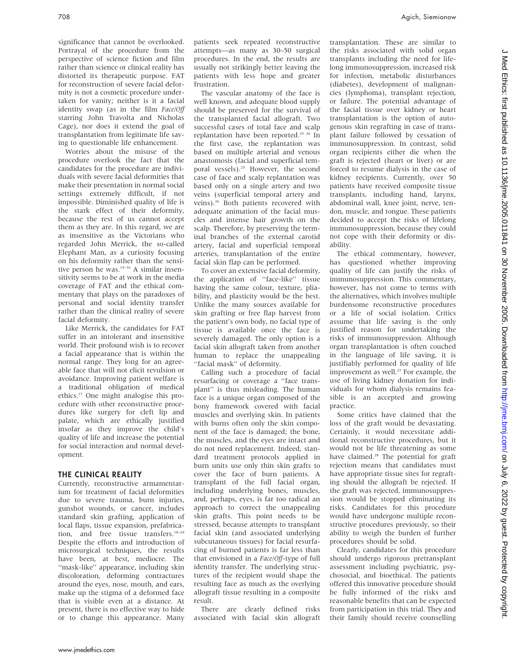significance that cannot be overlooked. Portrayal of the procedure from the perspective of science fiction and film rather than science or clinical reality has distorted its therapeutic purpose. FAT for reconstruction of severe facial deformity is not a cosmetic procedure undertaken for vanity; neither is it a facial identity swap (as in the film Face/Off starring John Travolta and Nicholas Cage), nor does it extend the goal of transplantation from legitimate life saving to questionable life enhancement.

Worries about the misuse of the procedure overlook the fact that the candidates for the procedure are individuals with severe facial deformities that make their presentation in normal social settings extremely difficult, if not impossible. Diminished quality of life is the stark effect of their deformity, because the rest of us cannot accept them as they are. In this regard, we are as insensitive as the Victorians who regarded John Merrick, the so-called Elephant Man, as a curiosity focusing on his deformity rather than the sensitive person he was.<sup>14-16</sup> A similar insensitivity seems to be at work in the media coverage of FAT and the ethical commentary that plays on the paradoxes of personal and social identity transfer rather than the clinical reality of severe facial deformity.

Like Merrick, the candidates for FAT suffer in an intolerant and insensitive world. Their profound wish is to recover a facial appearance that is within the normal range. They long for an agreeable face that will not elicit revulsion or avoidance. Improving patient welfare is a traditional obligation of medical ethics.17 One might analogise this procedure with other reconstructive procedures like surgery for cleft lip and palate, which are ethically justified insofar as they improve the child's quality of life and increase the potential for social interaction and normal development.

#### THE CLINICAL REALITY

Currently, reconstructive armamentarium for treatment of facial deformities due to severe trauma, burn injuries, gunshot wounds, or cancer, includes standard skin grafting, application of local flaps, tissue expansion, prefabrication, and free tissue transfers.<sup>18-24</sup> Despite the efforts and introduction of microsurgical techniques, the results have been, at best, mediocre. The "mask-like" appearance, including skin discoloration, deforming contractures around the eyes, nose, mouth, and ears, make up the stigma of a deformed face that is visible even at a distance. At present, there is no effective way to hide or to change this appearance. Many

patients seek repeated reconstructive attempts—as many as 30–50 surgical procedures. In the end, the results are usually not strikingly better leaving the patients with less hope and greater frustration.

The vascular anatomy of the face is well known, and adequate blood supply should be preserved for the survival of the transplanted facial allograft. Two successful cases of total face and scalp replantation have been reported.25 26 In the first case, the replantation was based on multiple arterial and venous anastomosis (facial and superficial temporal vessels).<sup>25</sup> However, the second case of face and scalp replantation was based only on a single artery and two veins (superficial temporal artery and veins).26 Both patients recovered with adequate animation of the facial muscles and intense hair growth on the scalp. Therefore, by preserving the terminal branches of the external carotid artery, facial and superficial temporal arteries, transplantation of the entire facial skin flap can be performed.

To cover an extensive facial deformity, the application of ''face-like'' tissue having the same colour, texture, pliability, and plasticity would be the best. Unlike the many sources available for skin grafting or free flap harvest from the patient's own body, no facial type of tissue is available once the face is severely damaged. The only option is a facial skin allograft taken from another human to replace the unappealing ''facial mask'' of deformity.

Calling such a procedure of facial resurfacing or coverage a ''face transplant'' is thus misleading. The human face is a unique organ composed of the bony framework covered with facial muscles and overlying skin. In patients with burns often only the skin component of the face is damaged; the bone, the muscles, and the eyes are intact and do not need replacement. Indeed, standard treatment protocols applied in burn units use only thin skin grafts to cover the face of burn patients. A transplant of the full facial organ, including underlying bones, muscles, and, perhaps, eyes, is far too radical an approach to correct the unappealing skin grafts. This point needs to be stressed, because attempts to transplant facial skin (and associated underlying subcutaneous tissues) for facial resurfacing of burned patients is far less than that envisioned in a Face/Off-type of full identity transfer. The underlying structures of the recipient would shape the resulting face as much as the overlying allograft tissue resulting in a composite result.

There are clearly defined risks associated with facial skin allograft

transplantation. These are similar to the risks associated with solid organ transplants including the need for lifelong immunosuppression, increased risk for infection, metabolic disturbances (diabetes), development of malignancies (lymphoma), transplant rejection, or failure. The potential advantage of the facial tissue over kidney or heart transplantation is the option of autogenous skin regrafting in case of transplant failure followed by cessation of immunosuppression. In contrast, solid organ recipients either die when the graft is rejected (heart or liver) or are forced to resume dialysis in the case of kidney recipients. Currently, over 50 patients have received composite tissue transplants, including hand, larynx, abdominal wall, knee joint, nerve, tendon, muscle, and tongue. These patients decided to accept the risks of lifelong immunosuppression, because they could not cope with their deformity or disability.

The ethical commentary, however, has questioned whether improving quality of life can justify the risks of immunosuppression. This commentary, however, has not come to terms with the alternatives, which involves multiple burdensome reconstructive procedures or a life of social isolation. Critics assume that life saving is the only justified reason for undertaking the risks of immunosuppression. Although organ transplantation is often couched in the language of life saving, it is justifiably performed for quality of life improvement as well.<sup>27</sup> For example, the use of living kidney donation for individuals for whom dialysis remains feasible is an accepted and growing practice.

Some critics have claimed that the loss of the graft would be devastating. Certainly, it would necessitate additional reconstructive procedures, but it would not be life threatening as some have claimed.<sup>28</sup> The potential for graft rejection means that candidates must have appropriate tissue sites for regrafting should the allograft be rejected. If the graft was rejected, immunosuppression would be stopped eliminating its risks. Candidates for this procedure would have undergone multiple reconstructive procedures previously, so their ability to weigh the burden of further procedures should be solid.

Clearly, candidates for this procedure should undergo rigorous pretransplant assessment including psychiatric, psychosocial, and bioethical. The patients offered this innovative procedure should be fully informed of the risks and reasonable benefits that can be expected from participation in this trial. They and their family should receive counselling